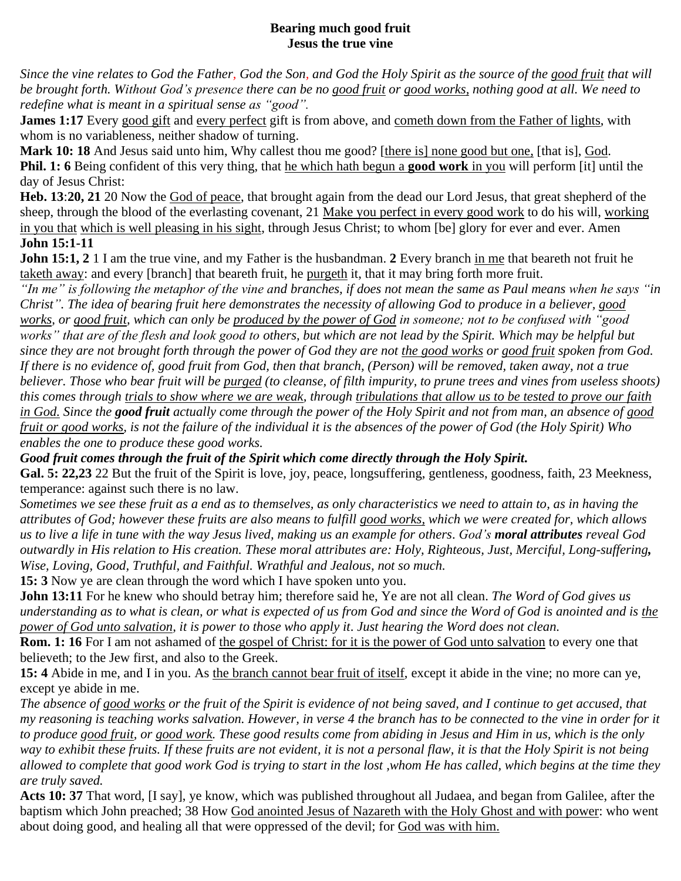## **Bearing much good fruit Jesus the true vine**

*Since the vine relates to God the Father, God the Son, and God the Holy Spirit as the source of the good fruit that will be brought forth. Without God's presence there can be no good fruit or good works, nothing good at all. We need to redefine what is meant in a spiritual sense as "good".*

**James 1:17** Every good gift and every perfect gift is from above, and cometh down from the Father of lights, with whom is no variableness, neither shadow of turning.

**Mark 10: 18** And Jesus said unto him, Why callest thou me good? [there is] none good but one, [that is], God. **Phil. 1: 6** Being confident of this very thing, that he which hath begun a **good work** in you will perform [it] until the day of Jesus Christ:

**Heb. 13**:**20, 21** 20 Now the God of peace, that brought again from the dead our Lord Jesus, that great shepherd of the sheep, through the blood of the everlasting covenant, 21 Make you perfect in every good work to do his will, working in you that which is well pleasing in his sight, through Jesus Christ; to whom [be] glory for ever and ever. Amen **John 15:1-11**

**John 15:1, 2** 1 I am the true vine, and my Father is the husbandman. **2** Every branch in me that beareth not fruit he taketh away: and every [branch] that beareth fruit, he purgeth it, that it may bring forth more fruit.

*"In me" is following the metaphor of the vine and branches, if does not mean the same as Paul means when he says "in Christ". The idea of bearing fruit here demonstrates the necessity of allowing God to produce in a believer, good works, or good fruit, which can only be produced by the power of God in someone; not to be confused with "good works" that are of the flesh and look good to others, but which are not lead by the Spirit. Which may be helpful but since they are not brought forth through the power of God they are not the good works or good fruit spoken from God. If there is no evidence of, good fruit from God, then that branch, (Person) will be removed, taken away, not a true believer. Those who bear fruit will be purged (to cleanse, of filth impurity, to prune trees and vines from useless shoots) this comes through trials to show where we are weak, through tribulations that allow us to be tested to prove our faith in God. Since the good fruit actually come through the power of the Holy Spirit and not from man, an absence of good fruit or good works, is not the failure of the individual it is the absences of the power of God (the Holy Spirit) Who enables the one to produce these good works.* 

*Good fruit comes through the fruit of the Spirit which come directly through the Holy Spirit.*

**Gal. 5: 22,23** 22 But the fruit of the Spirit is love, joy, peace, longsuffering, gentleness, goodness, faith, 23 Meekness, temperance: against such there is no law.

*Sometimes we see these fruit as a end as to themselves, as only characteristics we need to attain to, as in having the attributes of God; however these fruits are also means to fulfill good works, which we were created for, which allows us to live a life in tune with the way Jesus lived, making us an example for others*. *God's moral attributes reveal God outwardly in His relation to His creation. These moral attributes are: Holy, Righteous, Just, Merciful, Long-suffering, Wise, Loving, Good, Truthful, and Faithful. Wrathful and Jealous, not so much.*

**15: 3** Now ye are clean through the word which I have spoken unto you.

**John 13:11** For he knew who should betray him; therefore said he, Ye are not all clean. *The Word of God gives us understanding as to what is clean, or what is expected of us from God and since the Word of God is anointed and is the power of God unto salvation, it is power to those who apply it*. *Just hearing the Word does not clean.*

**Rom. 1: 16** For I am not ashamed of the gospel of Christ: for it is the power of God unto salvation to every one that believeth; to the Jew first, and also to the Greek.

**15: 4** Abide in me, and I in you. As the branch cannot bear fruit of itself, except it abide in the vine; no more can ye, except ye abide in me.

*The absence of good works or the fruit of the Spirit is evidence of not being saved, and I continue to get accused, that my reasoning is teaching works salvation. However, in verse 4 the branch has to be connected to the vine in order for it to produce good fruit, or good work. These good results come from abiding in Jesus and Him in us, which is the only way to exhibit these fruits. If these fruits are not evident, it is not a personal flaw, it is that the Holy Spirit is not being allowed to complete that good work God is trying to start in the lost ,whom He has called, which begins at the time they are truly saved.*

**Acts 10: 37** That word, [I say], ye know, which was published throughout all Judaea, and began from Galilee, after the baptism which John preached; 38 How God anointed Jesus of Nazareth with the Holy Ghost and with power: who went about doing good, and healing all that were oppressed of the devil; for God was with him.